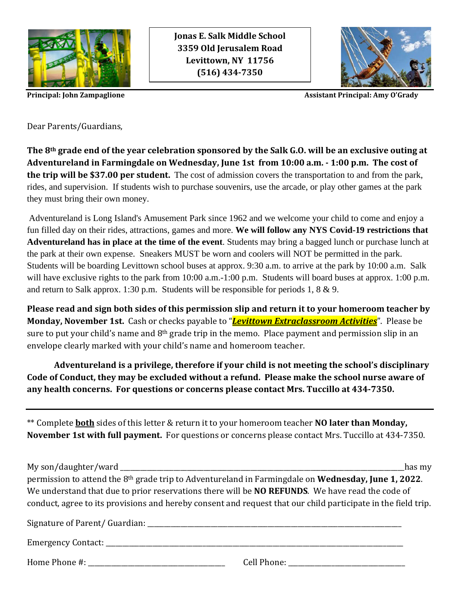

**Jonas E. Salk Middle School 3359 Old Jerusalem Road Levittown, NY 11756 (516) 434-7350**



**Principal: John Zampaglione** Assistant **Principal: Amy O'Grady** 

Dear Parents/Guardians,

**The 8th grade end of the year celebration sponsored by the Salk G.O. will be an exclusive outing at Adventureland in Farmingdale on Wednesday, June 1st from 10:00 a.m. - 1:00 p.m. The cost of the trip will be \$37.00 per student.** The cost of admission covers the transportation to and from the park, rides, and supervision. If students wish to purchase souvenirs, use the arcade, or play other games at the park they must bring their own money.

Adventureland is Long Island's Amusement Park since 1962 and we welcome your child to come and enjoy a fun filled day on their rides, attractions, games and more. **We will follow any NYS Covid-19 restrictions that Adventureland has in place at the time of the event**. Students may bring a bagged lunch or purchase lunch at the park at their own expense. Sneakers MUST be worn and coolers will NOT be permitted in the park. Students will be boarding Levittown school buses at approx. 9:30 a.m. to arrive at the park by 10:00 a.m. Salk will have exclusive rights to the park from 10:00 a.m.-1:00 p.m. Students will board buses at approx. 1:00 p.m. and return to Salk approx. 1:30 p.m. Students will be responsible for periods 1, 8 & 9.

**Please read and sign both sides of this permission slip and return it to your homeroom teacher by Monday, November 1st.** Cash or checks payable to "*Levittown Extraclassroom Activities*". Please be sure to put your child's name and 8<sup>th</sup> grade trip in the memo. Place payment and permission slip in an envelope clearly marked with your child's name and homeroom teacher.

**Adventureland is a privilege, therefore if your child is not meeting the school's disciplinary Code of Conduct, they may be excluded without a refund. Please make the school nurse aware of any health concerns. For questions or concerns please contact Mrs. Tuccillo at 434-7350.**

\*\* Complete **both** sides of this letter & return it to your homeroom teacher **NO later than Monday, November 1st with full payment.** For questions or concerns please contact Mrs. Tuccillo at 434-7350.

My son/daughter/ward \_\_\_\_\_\_\_\_\_\_\_\_\_\_\_\_\_\_\_\_\_\_\_\_\_\_\_\_\_\_\_\_\_\_\_\_\_\_\_\_\_\_\_\_\_\_\_\_\_\_\_\_\_\_\_\_\_\_\_\_\_\_\_\_\_\_\_\_\_\_\_\_\_\_\_\_\_\_\_\_\_\_\_\_\_has my permission to attend the 8th grade trip to Adventureland in Farmingdale on **Wednesday, June 1, 2022**. We understand that due to prior reservations there will be **NO REFUNDS**. We have read the code of conduct, agree to its provisions and hereby consent and request that our child participate in the field trip. Signature of Parent/ Guardian: \_\_\_\_\_\_\_\_\_\_\_\_\_\_\_\_\_\_\_\_\_\_\_\_\_\_\_\_\_\_\_\_\_\_\_\_\_\_\_\_\_\_\_\_\_\_\_\_\_\_\_\_\_\_\_\_\_\_\_\_\_\_\_\_\_\_\_\_\_\_\_\_\_\_\_\_ Emergency Contact:  $\Box$ 

Home Phone #:  $\Box$  Cell Phone:  $\Box$